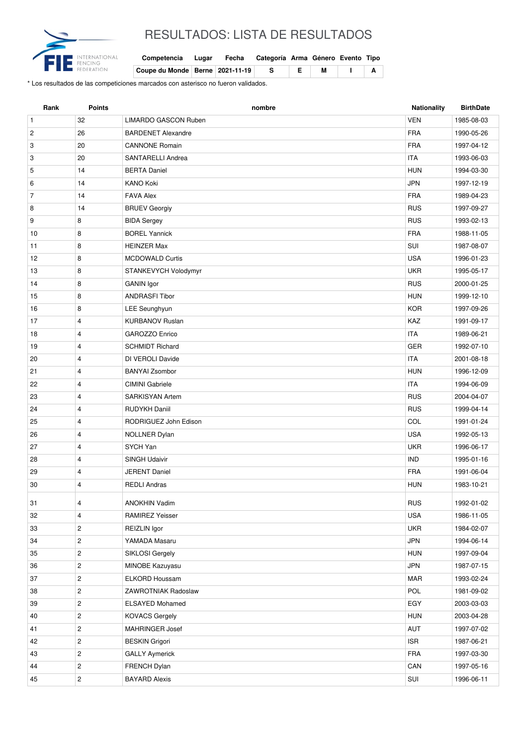

## RESULTADOS: LISTA DE RESULTADOS

| Competencia Lugar Fecha Categoría Arma Género Evento Tipo |  |       |  |  |
|-----------------------------------------------------------|--|-------|--|--|
| Coupe du Monde   Berne   2021-11-19   S                   |  | E   M |  |  |

\* Los resultados de las competiciones marcados con asterisco no fueron validados.

| Rank           | <b>Points</b>           | nombre                    | Nationality | <b>BirthDate</b> |
|----------------|-------------------------|---------------------------|-------------|------------------|
| $\mathbf{1}$   | 32                      | LIMARDO GASCON Ruben      | <b>VEN</b>  | 1985-08-03       |
| $\overline{c}$ | 26                      | <b>BARDENET Alexandre</b> | <b>FRA</b>  | 1990-05-26       |
| 3              | 20                      | <b>CANNONE Romain</b>     | <b>FRA</b>  | 1997-04-12       |
| 3              | 20                      | SANTARELLI Andrea         | <b>ITA</b>  | 1993-06-03       |
| 5              | 14                      | <b>BERTA Daniel</b>       | <b>HUN</b>  | 1994-03-30       |
| 6              | 14                      | <b>KANO Koki</b>          | <b>JPN</b>  | 1997-12-19       |
| $\overline{7}$ | 14                      | <b>FAVA Alex</b>          | <b>FRA</b>  | 1989-04-23       |
| 8              | 14                      | <b>BRUEV Georgiy</b>      | <b>RUS</b>  | 1997-09-27       |
| 9              | 8                       | <b>BIDA Sergey</b>        | <b>RUS</b>  | 1993-02-13       |
| 10             | 8                       | <b>BOREL Yannick</b>      | <b>FRA</b>  | 1988-11-05       |
| 11             | 8                       | <b>HEINZER Max</b>        | SUI         | 1987-08-07       |
| 12             | 8                       | <b>MCDOWALD Curtis</b>    | <b>USA</b>  | 1996-01-23       |
| 13             | 8                       | STANKEVYCH Volodymyr      | <b>UKR</b>  | 1995-05-17       |
| 14             | 8                       | <b>GANIN</b> Igor         | <b>RUS</b>  | 2000-01-25       |
| 15             | 8                       | <b>ANDRASFI Tibor</b>     | <b>HUN</b>  | 1999-12-10       |
| 16             | 8                       | LEE Seunghyun             | <b>KOR</b>  | 1997-09-26       |
| 17             | $\overline{4}$          | <b>KURBANOV Ruslan</b>    | KAZ         | 1991-09-17       |
| 18             | $\overline{4}$          | <b>GAROZZO Enrico</b>     | <b>ITA</b>  | 1989-06-21       |
| 19             | $\overline{4}$          | <b>SCHMIDT Richard</b>    | <b>GER</b>  | 1992-07-10       |
| 20             | $\overline{4}$          | DI VEROLI Davide          | <b>ITA</b>  | 2001-08-18       |
| 21             | $\overline{4}$          | <b>BANYAI Zsombor</b>     | <b>HUN</b>  | 1996-12-09       |
| 22             | $\overline{4}$          | <b>CIMINI</b> Gabriele    | <b>ITA</b>  | 1994-06-09       |
| 23             | $\overline{4}$          | <b>SARKISYAN Artem</b>    | <b>RUS</b>  | 2004-04-07       |
| 24             | $\overline{4}$          | <b>RUDYKH Daniil</b>      | <b>RUS</b>  | 1999-04-14       |
| 25             | $\overline{4}$          | RODRIGUEZ John Edison     | COL         | 1991-01-24       |
| 26             | $\overline{\mathbf{4}}$ | NOLLNER Dylan             | <b>USA</b>  | 1992-05-13       |
| 27             | $\overline{4}$          | SYCH Yan                  | <b>UKR</b>  | 1996-06-17       |
| 28             | $\overline{4}$          | <b>SINGH Udaivir</b>      | <b>IND</b>  | 1995-01-16       |
| 29             | $\overline{4}$          | <b>JERENT Daniel</b>      | <b>FRA</b>  | 1991-06-04       |
| 30             | $\overline{4}$          | <b>REDLI Andras</b>       | <b>HUN</b>  | 1983-10-21       |
| 31             | 4                       | ANOKHIN Vadim             | <b>RUS</b>  | 1992-01-02       |
| 32             | $\overline{4}$          | <b>RAMIREZ Yeisser</b>    | <b>USA</b>  | 1986-11-05       |
| 33             | $\overline{c}$          | REIZLIN Igor              | <b>UKR</b>  | 1984-02-07       |
| 34             | $\overline{c}$          | YAMADA Masaru             | <b>JPN</b>  | 1994-06-14       |
| 35             | $\overline{c}$          | SIKLOSI Gergely           | <b>HUN</b>  | 1997-09-04       |
| 36             | $\overline{c}$          | MINOBE Kazuyasu           | <b>JPN</b>  | 1987-07-15       |
| 37             | $\overline{c}$          | <b>ELKORD Houssam</b>     | <b>MAR</b>  | 1993-02-24       |
| 38             | $\overline{2}$          | ZAWROTNIAK Radoslaw       | POL         | 1981-09-02       |
| 39             | $\overline{2}$          | <b>ELSAYED Mohamed</b>    | EGY         | 2003-03-03       |
| 40             | $\overline{c}$          | <b>KOVACS Gergely</b>     | <b>HUN</b>  | 2003-04-28       |
| 41             | $\overline{c}$          | MAHRINGER Josef           | AUT         | 1997-07-02       |
| 42             | $\overline{c}$          | <b>BESKIN Grigori</b>     | <b>ISR</b>  | 1987-06-21       |
| 43             | $\overline{c}$          | <b>GALLY Aymerick</b>     | <b>FRA</b>  | 1997-03-30       |
| 44             | $\sqrt{2}$              | FRENCH Dylan              | CAN         | 1997-05-16       |
| 45             | $\overline{c}$          | <b>BAYARD Alexis</b>      | SUI         | 1996-06-11       |
|                |                         |                           |             |                  |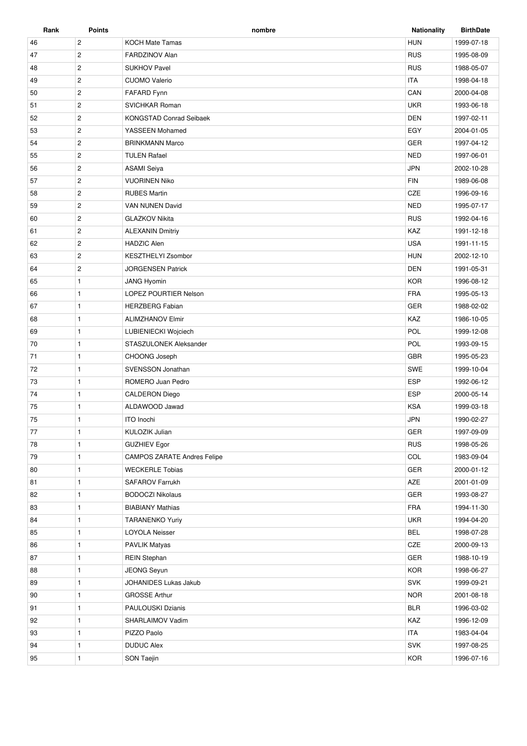| Rank | Points         | nombre                             | <b>Nationality</b> | <b>BirthDate</b> |
|------|----------------|------------------------------------|--------------------|------------------|
| 46   | $\overline{c}$ | <b>KOCH Mate Tamas</b>             | <b>HUN</b>         | 1999-07-18       |
| 47   | $\mathbf{2}$   | FARDZINOV Alan                     | <b>RUS</b>         | 1995-08-09       |
| 48   | $\overline{2}$ | <b>SUKHOV Pavel</b>                | <b>RUS</b>         | 1988-05-07       |
| 49   | $\overline{c}$ | <b>CUOMO Valerio</b>               | <b>ITA</b>         | 1998-04-18       |
| 50   | $\overline{2}$ | FAFARD Fynn                        | CAN                | 2000-04-08       |
| 51   | $\overline{c}$ | <b>SVICHKAR Roman</b>              | <b>UKR</b>         | 1993-06-18       |
| 52   | $\overline{c}$ | <b>KONGSTAD Conrad Seibaek</b>     | <b>DEN</b>         | 1997-02-11       |
| 53   | $\overline{2}$ | YASSEEN Mohamed                    | EGY                | 2004-01-05       |
| 54   | $\overline{2}$ | <b>BRINKMANN Marco</b>             | <b>GER</b>         | 1997-04-12       |
| 55   | $\overline{2}$ | <b>TULEN Rafael</b>                | <b>NED</b>         | 1997-06-01       |
| 56   | $\overline{c}$ | <b>ASAMI Seiya</b>                 | <b>JPN</b>         | 2002-10-28       |
| 57   | $\mathbf{2}$   | <b>VUORINEN Niko</b>               | <b>FIN</b>         | 1989-06-08       |
| 58   | $\overline{2}$ | <b>RUBES Martin</b>                | CZE                | 1996-09-16       |
| 59   | $\overline{c}$ | VAN NUNEN David                    | <b>NED</b>         | 1995-07-17       |
| 60   | $\mathbf{2}$   | <b>GLAZKOV Nikita</b>              | <b>RUS</b>         | 1992-04-16       |
| 61   | $\overline{2}$ | <b>ALEXANIN Dmitriy</b>            | KAZ                | 1991-12-18       |
| 62   | $\overline{2}$ | <b>HADZIC Alen</b>                 | <b>USA</b>         | 1991-11-15       |
| 63   | $\overline{2}$ | KESZTHELYI Zsombor                 | <b>HUN</b>         | 2002-12-10       |
| 64   | $\overline{2}$ | <b>JORGENSEN Patrick</b>           | <b>DEN</b>         | 1991-05-31       |
| 65   | $\mathbf{1}$   | <b>JANG Hyomin</b>                 | <b>KOR</b>         | 1996-08-12       |
| 66   | $\mathbf{1}$   | LOPEZ POURTIER Nelson              | <b>FRA</b>         | 1995-05-13       |
| 67   | $\mathbf{1}$   | <b>HERZBERG Fabian</b>             | <b>GER</b>         | 1988-02-02       |
| 68   | $\mathbf{1}$   | <b>ALIMZHANOV Elmir</b>            | KAZ                | 1986-10-05       |
| 69   | $\mathbf{1}$   | LUBIENIECKI Wojciech               | POL                | 1999-12-08       |
| 70   | $\mathbf{1}$   | STASZULONEK Aleksander             | POL                | 1993-09-15       |
| 71   | $\mathbf{1}$   | CHOONG Joseph                      | <b>GBR</b>         | 1995-05-23       |
| 72   | $\mathbf{1}$   | SVENSSON Jonathan                  | <b>SWE</b>         | 1999-10-04       |
| 73   | $\mathbf{1}$   | ROMERO Juan Pedro                  | <b>ESP</b>         | 1992-06-12       |
| 74   | $\mathbf{1}$   | <b>CALDERON Diego</b>              | <b>ESP</b>         | 2000-05-14       |
| 75   | $\mathbf{1}$   | ALDAWOOD Jawad                     | <b>KSA</b>         | 1999-03-18       |
| 75   | $\mathbf{1}$   | <b>ITO</b> Inochi                  | <b>JPN</b>         | 1990-02-27       |
| 77   | 1              | KULOZIK Julian                     | GER                | 1997-09-09       |
| 78   | $\mathbf{1}$   | <b>GUZHIEV Egor</b>                | <b>RUS</b>         | 1998-05-26       |
| 79   | $\mathbf{1}$   | <b>CAMPOS ZARATE Andres Felipe</b> | COL                | 1983-09-04       |
| 80   | $\mathbf{1}$   | <b>WECKERLE Tobias</b>             | GER                | 2000-01-12       |
| 81   | $\mathbf{1}$   | <b>SAFAROV Farrukh</b>             | AZE                | 2001-01-09       |
| 82   | $\mathbf{1}$   | <b>BODOCZI Nikolaus</b>            | GER                | 1993-08-27       |
| 83   | $\mathbf{1}$   | <b>BIABIANY Mathias</b>            | FRA                | 1994-11-30       |
| 84   | $\mathbf{1}$   | <b>TARANENKO Yuriy</b>             | <b>UKR</b>         | 1994-04-20       |
| 85   | $\mathbf{1}$   | <b>LOYOLA Neisser</b>              | <b>BEL</b>         | 1998-07-28       |
| 86   | $\mathbf{1}$   | <b>PAVLIK Matyas</b>               | CZE                | 2000-09-13       |
| 87   | $\mathbf{1}$   | <b>REIN Stephan</b>                | GER                | 1988-10-19       |
| 88   | $\mathbf{1}$   | <b>JEONG Seyun</b>                 | <b>KOR</b>         | 1998-06-27       |
| 89   | $\mathbf{1}$   | JOHANIDES Lukas Jakub              | SVK                | 1999-09-21       |
| 90   | $\mathbf{1}$   | <b>GROSSE Arthur</b>               | <b>NOR</b>         | 2001-08-18       |
| 91   | $\mathbf{1}$   | PAULOUSKI Dzianis                  | <b>BLR</b>         | 1996-03-02       |
| 92   | $\mathbf{1}$   | SHARLAIMOV Vadim                   | KAZ                | 1996-12-09       |
| 93   | $\mathbf{1}$   | PIZZO Paolo                        | <b>ITA</b>         | 1983-04-04       |
| 94   | 1              | <b>DUDUC Alex</b>                  | SVK                | 1997-08-25       |
| 95   | 1              | SON Taejin                         | <b>KOR</b>         | 1996-07-16       |
|      |                |                                    |                    |                  |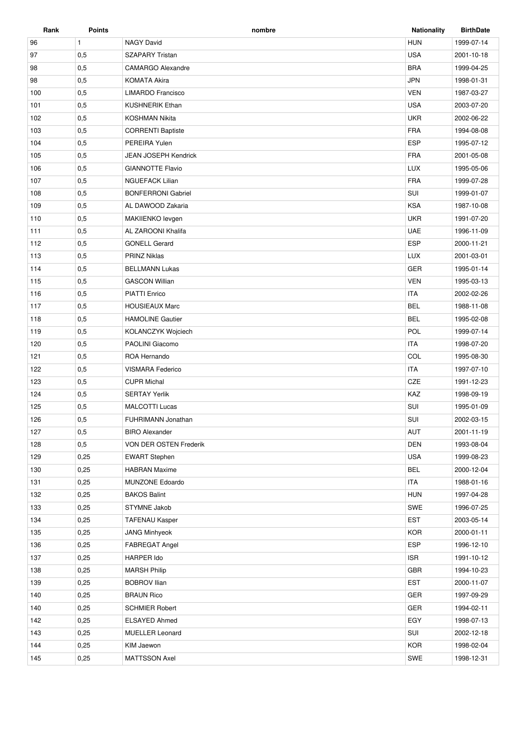| Rank | <b>Points</b> | nombre                      | <b>Nationality</b> | <b>BirthDate</b> |
|------|---------------|-----------------------------|--------------------|------------------|
| 96   | $\mathbf{1}$  | <b>NAGY David</b>           | <b>HUN</b>         | 1999-07-14       |
| 97   | 0,5           | <b>SZAPARY Tristan</b>      | <b>USA</b>         | 2001-10-18       |
| 98   | 0,5           | <b>CAMARGO Alexandre</b>    | <b>BRA</b>         | 1999-04-25       |
| 98   | 0,5           | <b>KOMATA Akira</b>         | <b>JPN</b>         | 1998-01-31       |
| 100  | 0,5           | LIMARDO Francisco           | <b>VEN</b>         | 1987-03-27       |
| 101  | 0,5           | <b>KUSHNERIK Ethan</b>      | <b>USA</b>         | 2003-07-20       |
| 102  | 0,5           | <b>KOSHMAN Nikita</b>       | <b>UKR</b>         | 2002-06-22       |
| 103  | 0,5           | <b>CORRENTI Baptiste</b>    | <b>FRA</b>         | 1994-08-08       |
| 104  | 0,5           | PEREIRA Yulen               | <b>ESP</b>         | 1995-07-12       |
| 105  | 0,5           | <b>JEAN JOSEPH Kendrick</b> | <b>FRA</b>         | 2001-05-08       |
| 106  | 0,5           | <b>GIANNOTTE Flavio</b>     | <b>LUX</b>         | 1995-05-06       |
| 107  | 0,5           | <b>NGUEFACK Lilian</b>      | <b>FRA</b>         | 1999-07-28       |
| 108  | 0,5           | <b>BONFERRONI Gabriel</b>   | SUI                | 1999-01-07       |
| 109  | 0,5           | AL DAWOOD Zakaria           | <b>KSA</b>         | 1987-10-08       |
| 110  | 0,5           | MAKIIENKO levgen            | <b>UKR</b>         | 1991-07-20       |
| 111  | 0,5           | AL ZAROONI Khalifa          | <b>UAE</b>         | 1996-11-09       |
| 112  | 0,5           | <b>GONELL Gerard</b>        | <b>ESP</b>         | 2000-11-21       |
| 113  | 0,5           | <b>PRINZ Niklas</b>         | <b>LUX</b>         | 2001-03-01       |
| 114  | 0,5           | <b>BELLMANN Lukas</b>       | <b>GER</b>         | 1995-01-14       |
| 115  | 0,5           | <b>GASCON Willian</b>       | <b>VEN</b>         | 1995-03-13       |
| 116  | 0,5           | <b>PIATTI Enrico</b>        | <b>ITA</b>         | 2002-02-26       |
| 117  | 0,5           | <b>HOUSIEAUX Marc</b>       | <b>BEL</b>         | 1988-11-08       |
| 118  | 0,5           | <b>HAMOLINE Gautier</b>     | <b>BEL</b>         | 1995-02-08       |
| 119  | 0,5           | KOLANCZYK Wojciech          | POL                | 1999-07-14       |
| 120  | 0,5           | PAOLINI Giacomo             | <b>ITA</b>         | 1998-07-20       |
| 121  | 0,5           | ROA Hernando                | COL                | 1995-08-30       |
| 122  | 0,5           | <b>VISMARA Federico</b>     | <b>ITA</b>         | 1997-07-10       |
| 123  | 0,5           | <b>CUPR Michal</b>          | CZE                | 1991-12-23       |
| 124  | 0,5           | <b>SERTAY Yerlik</b>        | KAZ                | 1998-09-19       |
| 125  | 0,5           | <b>MALCOTTI Lucas</b>       | SUI                | 1995-01-09       |
| 126  | 0,5           | FUHRIMANN Jonathan          | SUI                | 2002-03-15       |
| 127  | 0,5           | <b>BIRO Alexander</b>       | AUT                | 2001-11-19       |
| 128  | 0,5           | VON DER OSTEN Frederik      | DEN                | 1993-08-04       |
| 129  | 0,25          | <b>EWART Stephen</b>        | <b>USA</b>         | 1999-08-23       |
| 130  | 0,25          | <b>HABRAN Maxime</b>        | <b>BEL</b>         | 2000-12-04       |
| 131  | 0,25          | MUNZONE Edoardo             | <b>ITA</b>         | 1988-01-16       |
| 132  | 0,25          | <b>BAKOS Balint</b>         | <b>HUN</b>         | 1997-04-28       |
| 133  | 0,25          | STYMNE Jakob                | SWE                | 1996-07-25       |
| 134  | 0,25          | <b>TAFENAU Kasper</b>       | <b>EST</b>         | 2003-05-14       |
| 135  | 0,25          | <b>JANG Minhyeok</b>        | <b>KOR</b>         | 2000-01-11       |
| 136  | 0,25          | FABREGAT Angel              | <b>ESP</b>         | 1996-12-10       |
| 137  | 0,25          | HARPER Ido                  | <b>ISR</b>         | 1991-10-12       |
| 138  | 0,25          | <b>MARSH Philip</b>         | GBR                | 1994-10-23       |
| 139  | 0,25          | BOBROV Ilian                | <b>EST</b>         | 2000-11-07       |
| 140  | 0,25          | <b>BRAUN Rico</b>           | GER                | 1997-09-29       |
| 140  | 0,25          | <b>SCHMIER Robert</b>       | GER                | 1994-02-11       |
| 142  | 0,25          | ELSAYED Ahmed               | EGY                | 1998-07-13       |
| 143  | 0,25          | <b>MUELLER Leonard</b>      | SUI                | 2002-12-18       |
| 144  | 0,25          | KIM Jaewon                  | <b>KOR</b>         | 1998-02-04       |
| 145  | 0,25          | MATTSSON Axel               | SWE                | 1998-12-31       |
|      |               |                             |                    |                  |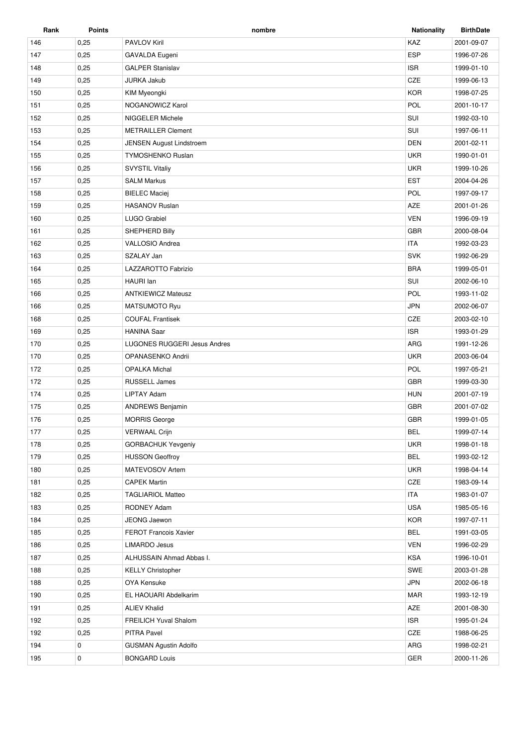| Rank | <b>Points</b> | nombre                              | <b>Nationality</b> | <b>BirthDate</b> |
|------|---------------|-------------------------------------|--------------------|------------------|
| 146  | 0,25          | <b>PAVLOV Kiril</b>                 | KAZ                | 2001-09-07       |
| 147  | 0,25          | GAVALDA Eugeni                      | <b>ESP</b>         | 1996-07-26       |
| 148  | 0,25          | <b>GALPER Stanislav</b>             | <b>ISR</b>         | 1999-01-10       |
| 149  | 0,25          | <b>JURKA Jakub</b>                  | CZE                | 1999-06-13       |
| 150  | 0,25          | KIM Myeongki                        | <b>KOR</b>         | 1998-07-25       |
| 151  | 0,25          | NOGANOWICZ Karol                    | POL                | 2001-10-17       |
| 152  | 0,25          | NIGGELER Michele                    | SUI                | 1992-03-10       |
| 153  | 0,25          | <b>METRAILLER Clement</b>           | SUI                | 1997-06-11       |
| 154  | 0,25          | <b>JENSEN August Lindstroem</b>     | <b>DEN</b>         | 2001-02-11       |
| 155  | 0,25          | <b>TYMOSHENKO Ruslan</b>            | <b>UKR</b>         | 1990-01-01       |
| 156  | 0,25          | <b>SVYSTIL Vitaliy</b>              | <b>UKR</b>         | 1999-10-26       |
| 157  | 0,25          | <b>SALM Markus</b>                  | <b>EST</b>         | 2004-04-26       |
| 158  | 0,25          | <b>BIELEC Maciej</b>                | POL                | 1997-09-17       |
| 159  | 0,25          | <b>HASANOV Ruslan</b>               | <b>AZE</b>         | 2001-01-26       |
| 160  | 0,25          | <b>LUGO Grabiel</b>                 | <b>VEN</b>         | 1996-09-19       |
| 161  | 0,25          | SHEPHERD Billy                      | <b>GBR</b>         | 2000-08-04       |
| 162  | 0,25          | VALLOSIO Andrea                     | <b>ITA</b>         | 1992-03-23       |
| 163  | 0,25          | SZALAY Jan                          | <b>SVK</b>         | 1992-06-29       |
| 164  | 0,25          | LAZZAROTTO Fabrizio                 | <b>BRA</b>         | 1999-05-01       |
| 165  | 0,25          | <b>HAURI</b> Ian                    | SUI                | 2002-06-10       |
| 166  | 0,25          | <b>ANTKIEWICZ Mateusz</b>           | POL                | 1993-11-02       |
| 166  | 0,25          | MATSUMOTO Ryu                       | <b>JPN</b>         | 2002-06-07       |
| 168  | 0,25          | <b>COUFAL Frantisek</b>             | CZE                | 2003-02-10       |
| 169  | 0,25          | <b>HANINA Saar</b>                  | <b>ISR</b>         | 1993-01-29       |
| 170  | 0,25          | <b>LUGONES RUGGERI Jesus Andres</b> | ARG                | 1991-12-26       |
| 170  | 0,25          | OPANASENKO Andrii                   | <b>UKR</b>         | 2003-06-04       |
| 172  | 0,25          | <b>OPALKA Michal</b>                | POL                | 1997-05-21       |
| 172  | 0,25          | <b>RUSSELL James</b>                | <b>GBR</b>         | 1999-03-30       |
| 174  | 0,25          | <b>LIPTAY Adam</b>                  | <b>HUN</b>         | 2001-07-19       |
| 175  | 0,25          | <b>ANDREWS Benjamin</b>             | <b>GBR</b>         | 2001-07-02       |
| 176  | 0,25          | <b>MORRIS George</b>                | <b>GBR</b>         | 1999-01-05       |
| 177  | 0,25          | <b>VERWAAL Crijn</b>                | <b>BEL</b>         | 1999-07-14       |
| 178  | 0,25          | <b>GORBACHUK Yevgeniy</b>           | <b>UKR</b>         | 1998-01-18       |
| 179  | 0,25          | <b>HUSSON Geoffroy</b>              | <b>BEL</b>         | 1993-02-12       |
| 180  | 0,25          | MATEVOSOV Artem                     | <b>UKR</b>         | 1998-04-14       |
| 181  | 0,25          | <b>CAPEK Martin</b>                 | CZE                | 1983-09-14       |
| 182  | 0,25          | <b>TAGLIARIOL Matteo</b>            | <b>ITA</b>         | 1983-01-07       |
| 183  | 0,25          | <b>RODNEY Adam</b>                  | <b>USA</b>         | 1985-05-16       |
| 184  | 0,25          | JEONG Jaewon                        | <b>KOR</b>         | 1997-07-11       |
| 185  | 0,25          | <b>FEROT Francois Xavier</b>        | <b>BEL</b>         | 1991-03-05       |
| 186  | 0,25          | <b>LIMARDO Jesus</b>                | <b>VEN</b>         | 1996-02-29       |
| 187  | 0,25          | ALHUSSAIN Ahmad Abbas I.            | <b>KSA</b>         | 1996-10-01       |
| 188  | 0,25          | <b>KELLY Christopher</b>            | SWE                | 2003-01-28       |
| 188  | 0,25          | OYA Kensuke                         | <b>JPN</b>         | 2002-06-18       |
| 190  | 0,25          | EL HAOUARI Abdelkarim               | <b>MAR</b>         | 1993-12-19       |
| 191  | 0,25          | <b>ALIEV Khalid</b>                 | AZE                | 2001-08-30       |
| 192  | 0,25          | <b>FREILICH Yuval Shalom</b>        | <b>ISR</b>         | 1995-01-24       |
| 192  | 0,25          | PITRA Pavel                         | CZE                | 1988-06-25       |
| 194  | 0             | <b>GUSMAN Agustin Adolfo</b>        | ARG                | 1998-02-21       |
| 195  | 0             | <b>BONGARD Louis</b>                | GER                | 2000-11-26       |
|      |               |                                     |                    |                  |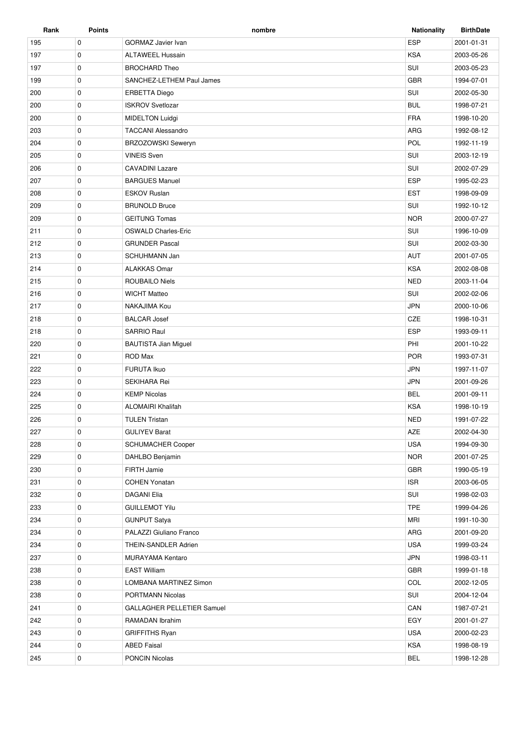| Rank | <b>Points</b> | nombre                      | <b>Nationality</b> | <b>BirthDate</b> |
|------|---------------|-----------------------------|--------------------|------------------|
| 195  | $\mathbf 0$   | <b>GORMAZ Javier Ivan</b>   | <b>ESP</b>         | 2001-01-31       |
| 197  | $\mathbf 0$   | <b>ALTAWEEL Hussain</b>     | <b>KSA</b>         | 2003-05-26       |
| 197  | 0             | <b>BROCHARD Theo</b>        | SUI                | 2003-05-23       |
| 199  | $\mathbf 0$   | SANCHEZ-LETHEM Paul James   | <b>GBR</b>         | 1994-07-01       |
| 200  | 0             | <b>ERBETTA Diego</b>        | SUI                | 2002-05-30       |
| 200  | $\mathbf 0$   | <b>ISKROV Svetlozar</b>     | <b>BUL</b>         | 1998-07-21       |
| 200  | $\mathbf 0$   | <b>MIDELTON Luidgi</b>      | <b>FRA</b>         | 1998-10-20       |
| 203  | 0             | <b>TACCANI Alessandro</b>   | ARG                | 1992-08-12       |
| 204  | 0             | <b>BRZOZOWSKI Seweryn</b>   | POL                | 1992-11-19       |
| 205  | $\mathbf 0$   | <b>VINEIS Sven</b>          | SUI                | 2003-12-19       |
| 206  | 0             | <b>CAVADINI Lazare</b>      | SUI                | 2002-07-29       |
| 207  | $\mathbf 0$   | <b>BARGUES Manuel</b>       | <b>ESP</b>         | 1995-02-23       |
| 208  | $\mathbf 0$   | <b>ESKOV Ruslan</b>         | <b>EST</b>         | 1998-09-09       |
| 209  | 0             | <b>BRUNOLD Bruce</b>        | SUI                | 1992-10-12       |
| 209  | $\mathbf 0$   | <b>GEITUNG Tomas</b>        | <b>NOR</b>         | 2000-07-27       |
| 211  | 0             | <b>OSWALD Charles-Eric</b>  | SUI                | 1996-10-09       |
| 212  | $\mathbf 0$   | <b>GRUNDER Pascal</b>       | SUI                | 2002-03-30       |
| 213  | $\mathbf 0$   | <b>SCHUHMANN Jan</b>        | <b>AUT</b>         | 2001-07-05       |
| 214  | 0             | <b>ALAKKAS Omar</b>         | <b>KSA</b>         | 2002-08-08       |
| 215  | 0             | <b>ROUBAILO Niels</b>       | <b>NED</b>         | 2003-11-04       |
| 216  | $\mathbf 0$   | <b>WICHT Matteo</b>         | SUI                | 2002-02-06       |
| 217  | 0             | NAKAJIMA Kou                | <b>JPN</b>         | 2000-10-06       |
| 218  | $\mathbf 0$   | <b>BALCAR Josef</b>         | CZE                | 1998-10-31       |
| 218  | $\mathbf 0$   | <b>SARRIO Raul</b>          | <b>ESP</b>         | 1993-09-11       |
| 220  | 0             | <b>BAUTISTA Jian Miguel</b> | PHI                | 2001-10-22       |
| 221  | $\mathbf 0$   | ROD Max                     | <b>POR</b>         | 1993-07-31       |
| 222  | 0             | <b>FURUTA Ikuo</b>          | <b>JPN</b>         | 1997-11-07       |
| 223  | $\mathbf 0$   | <b>SEKIHARA Rei</b>         | <b>JPN</b>         | 2001-09-26       |
| 224  | $\mathbf 0$   | <b>KEMP Nicolas</b>         | <b>BEL</b>         | 2001-09-11       |
| 225  | 0             | <b>ALOMAIRI Khalifah</b>    | <b>KSA</b>         | 1998-10-19       |
| 226  | $\mathbf 0$   | <b>TULEN Tristan</b>        | <b>NED</b>         | 1991-07-22       |
| 227  | $\mathbf 0$   | <b>GULIYEV Barat</b>        | AZE                | 2002-04-30       |
| 228  | 0             | <b>SCHUMACHER Cooper</b>    | <b>USA</b>         | 1994-09-30       |
| 229  | 0             | DAHLBO Benjamin             | <b>NOR</b>         | 2001-07-25       |
| 230  | 0             | FIRTH Jamie                 | GBR                | 1990-05-19       |
| 231  | 0             | <b>COHEN Yonatan</b>        | <b>ISR</b>         | 2003-06-05       |
| 232  | 0             | DAGANI Elia                 | SUI                | 1998-02-03       |
| 233  | 0             | <b>GUILLEMOT Yilu</b>       | <b>TPE</b>         | 1999-04-26       |
| 234  | 0             | <b>GUNPUT Satya</b>         | <b>MRI</b>         | 1991-10-30       |
| 234  | 0             | PALAZZI Giuliano Franco     | ARG                | 2001-09-20       |
| 234  | 0             | THEIN-SANDLER Adrien        | USA                | 1999-03-24       |
| 237  | $\mathbf 0$   | MURAYAMA Kentaro            | <b>JPN</b>         | 1998-03-11       |
| 238  | $\mathbf 0$   | <b>EAST William</b>         | <b>GBR</b>         | 1999-01-18       |
| 238  | 0             | LOMBANA MARTINEZ Simon      | COL                | 2002-12-05       |
| 238  | 0             | PORTMANN Nicolas            | SUI                | 2004-12-04       |
| 241  | $\mathbf 0$   | GALLAGHER PELLETIER Samuel  | CAN                | 1987-07-21       |
| 242  | 0             | RAMADAN Ibrahim             | EGY                | 2001-01-27       |
| 243  | 0             | <b>GRIFFITHS Ryan</b>       | <b>USA</b>         | 2000-02-23       |
| 244  | 0             | <b>ABED Faisal</b>          | KSA                | 1998-08-19       |
| 245  | 0             | <b>PONCIN Nicolas</b>       | <b>BEL</b>         | 1998-12-28       |
|      |               |                             |                    |                  |